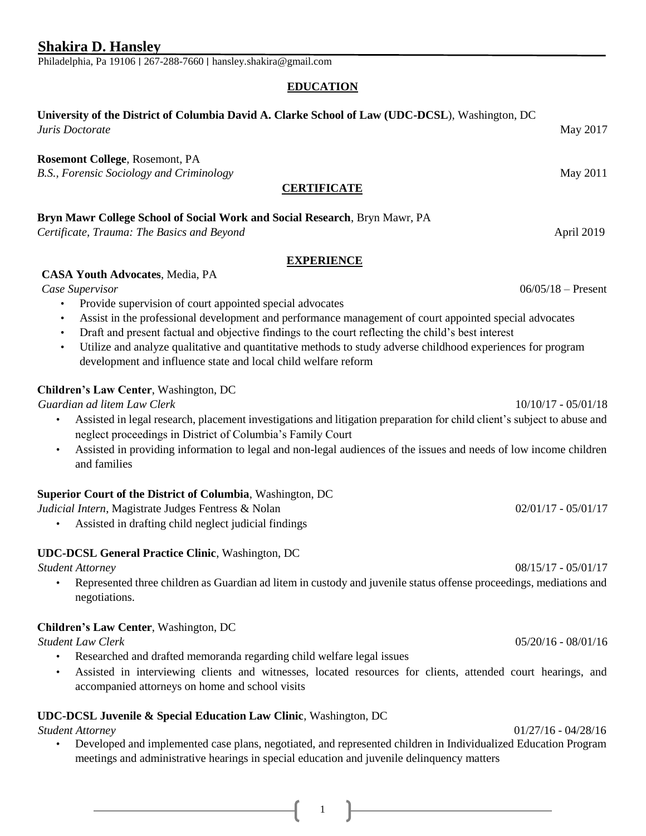*Student Attorney* 01/27/16 - 04/28/16

**Shakira D. Hansley**  Philadelphia, Pa 19106 ∣ 267-288-7660 ∣ hansley.shakira@gmail.com

# **EDUCATION**

# **University of the District of Columbia David A. Clarke School of Law (UDC-DCSL**), Washington, DC

*Juris Doctorate* May 2017

## **Rosemont College**, Rosemont, PA

*B.S., Forensic Sociology and Criminology May 2011* 

## **CERTIFICATE**

## **Bryn Mawr College School of Social Work and Social Research**, Bryn Mawr, PA

*Certificate, Trauma: The Basics and Beyond* April 2019

#### **EXPERIENCE**

### **CASA Youth Advocates**, Media, PA

- Provide supervision of court appointed special advocates
- Assist in the professional development and performance management of court appointed special advocates
- Draft and present factual and objective findings to the court reflecting the child's best interest
- Utilize and analyze qualitative and quantitative methods to study adverse childhood experiences for program development and influence state and local child welfare reform

### **Children's Law Center**, Washington, DC

*Guardian ad litem Law Clerk* 10/10/17 - 05/01/18

- Assisted in legal research, placement investigations and litigation preparation for child client's subject to abuse and neglect proceedings in District of Columbia's Family Court
- Assisted in providing information to legal and non-legal audiences of the issues and needs of low income children and families

### **Superior Court of the District of Columbia**, Washington, DC

*Judicial Intern*, Magistrate Judges Fentress & Nolan 02/01/17 - 05/01/17 - 05/01/17

• Assisted in drafting child neglect judicial findings

# **UDC-DCSL General Practice Clinic**, Washington, DC

• Represented three children as Guardian ad litem in custody and juvenile status offense proceedings, mediations and negotiations.

# **Children's Law Center**, Washington, DC

*Student Law Clerk* 05/20/16 - 08/01/16

- Researched and drafted memoranda regarding child welfare legal issues
- Assisted in interviewing clients and witnesses, located resources for clients, attended court hearings, and accompanied attorneys on home and school visits

## **UDC-DCSL Juvenile & Special Education Law Clinic**, Washington, DC

• Developed and implemented case plans, negotiated, and represented children in Individualized Education Program meetings and administrative hearings in special education and juvenile delinquency matters

1

*Case Supervisor* 06/05/18 – Present

*Student Attorney* 08/15/17 - 05/01/17